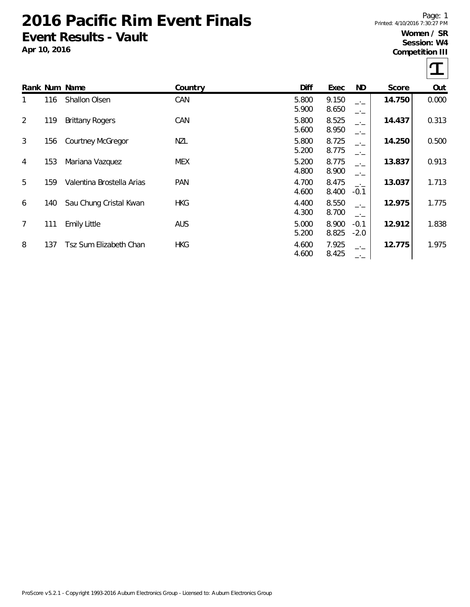# **2016 Pacific Rim Event Finals Event Results - Vault**

**Apr 10, 2016**

Page: 1 Printed: 4/10/2016 7:30:27 PM

### **Women / SR Session: W4**

**Competition III**

 $\tau$ 

|                |     | Rank Num Name             | Country    | Diff           | Exec           | ND               | Score  | Out   |
|----------------|-----|---------------------------|------------|----------------|----------------|------------------|--------|-------|
| 1              | 116 | <b>Shallon Olsen</b>      | CAN        | 5.800<br>5.900 | 9.150<br>8.650 | $-1$<br>$-1$     | 14.750 | 0.000 |
| 2              | 119 | <b>Brittany Rogers</b>    | CAN        | 5.800<br>5.600 | 8.525<br>8.950 | $-1$<br>$-1$     | 14.437 | 0.313 |
| 3              | 156 | <b>Courtney McGregor</b>  | NZL        | 5.800<br>5.200 | 8.725<br>8.775 | $-1$<br>$-1$     | 14.250 | 0.500 |
| $\overline{4}$ | 153 | Mariana Vazquez           | <b>MEX</b> | 5.200<br>4.800 | 8.775<br>8.900 | $-1$<br>—'—      | 13.837 | 0.913 |
| 5              | 159 | Valentina Brostella Arias | <b>PAN</b> | 4.700<br>4.600 | 8.475<br>8.400 | $-1$<br>$-0.1$   | 13.037 | 1.713 |
| 6              | 140 | Sau Chung Cristal Kwan    | <b>HKG</b> | 4.400<br>4.300 | 8.550<br>8.700 | $-1$<br>$-1$     | 12.975 | 1.775 |
| 7              | 111 | <b>Emily Little</b>       | AUS        | 5.000<br>5.200 | 8.900<br>8.825 | $-0.1$<br>$-2.0$ | 12.912 | 1.838 |
| 8              | 137 | Tsz Sum Elizabeth Chan    | <b>HKG</b> | 4.600<br>4.600 | 7.925<br>8.425 | $-1$<br>$ -$     | 12.775 | 1.975 |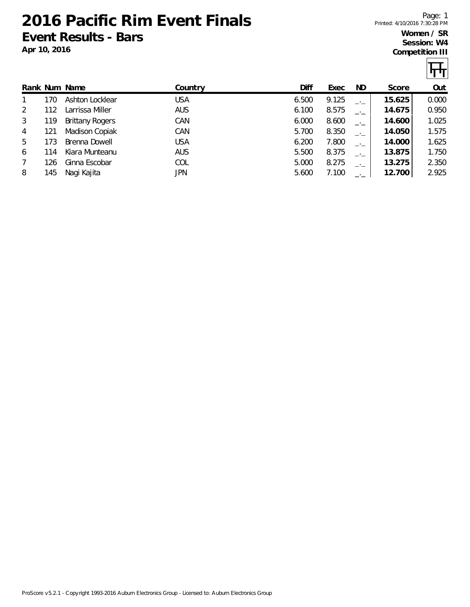**2016 Pacific Rim Event Finals Event Results - Bars**

Page: 1 Printed: 4/10/2016 7:30:28 PM

#### **Women / SR Session: W4 Competition III**

|   |     |                        |            |       |       |      |        | <u> पा प</u> |
|---|-----|------------------------|------------|-------|-------|------|--------|--------------|
|   |     | Rank Num Name          | Country    | Diff  | Exec  | ND.  | Score  | Out          |
|   | 170 | Ashton Locklear        | <b>USA</b> | 6.500 | 9.125 | $-1$ | 15.625 | 0.000        |
| 2 | 112 | Larrissa Miller        | <b>AUS</b> | 6.100 | 8.575 |      | 14.675 | 0.950        |
| 3 | 119 | <b>Brittany Rogers</b> | CAN        | 6.000 | 8.600 | $-1$ | 14.600 | 1.025        |
| 4 | 121 | Madison Copiak         | CAN        | 5.700 | 8.350 | $-1$ | 14.050 | 1.575        |
| 5 | 173 | Brenna Dowell          | <b>USA</b> | 6.200 | 7.800 | $-1$ | 14.000 | 1.625        |

6 114 Kiara Munteanu AUS 5.500 8.375 \_.\_ **13.875** 1.750 7 126 Ginna Escobar COL 5.000 8.275 \_.\_ **13.275** 2.350 8 145 Nagi Kajita JPN 5.600 7.100 \_.\_ **12.700** 2.925

**Apr 10, 2016**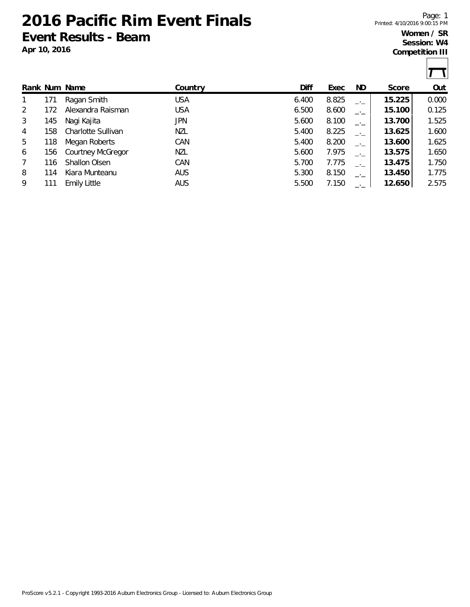**2016 Pacific Rim Event Finals Event Results - Beam**

**Apr 10, 2016**

Page: 1 Printed: 4/10/2016 9:00:15 PM

### **Women / SR Session: W4**

**Competition III**

 $\overline{\mathbf{r}}$ T

|   |     |                          |            |       |       |      |        | $\mathbf{r}$ , $\mathbf{r}$ |
|---|-----|--------------------------|------------|-------|-------|------|--------|-----------------------------|
|   |     | Rank Num Name            | Country    | Diff  | Exec  | ND.  | Score  | Out                         |
|   | 171 | Ragan Smith              | <b>USA</b> | 6.400 | 8.825 | $-1$ | 15.225 | 0.000                       |
| 2 | 172 | Alexandra Raisman        | <b>USA</b> | 6.500 | 8.600 | $-1$ | 15.100 | 0.125                       |
| 3 | 145 | Nagi Kajita              | JPN        | 5.600 | 8.100 | —'—  | 13.700 | 1.525                       |
| 4 | 158 | Charlotte Sullivan       | NZL        | 5.400 | 8.225 |      | 13.625 | 1.600                       |
| 5 | 118 | Megan Roberts            | CAN        | 5.400 | 8.200 | $-1$ | 13.600 | 1.625                       |
| 6 | 156 | <b>Courtney McGregor</b> | <b>NZL</b> | 5.600 | 7.975 | —'—  | 13.575 | 1.650                       |
| 7 | 116 | <b>Shallon Olsen</b>     | CAN        | 5.700 | 7.775 | $-1$ | 13.475 | 1.750                       |
| 8 | 114 | Kiara Munteanu           | <b>AUS</b> | 5.300 | 8.150 | $-1$ | 13.450 | 1.775                       |
| 9 | 111 | <b>Emily Little</b>      | <b>AUS</b> | 5.500 | 7.150 |      | 12.650 | 2.575                       |
|   |     |                          |            |       |       |      |        |                             |